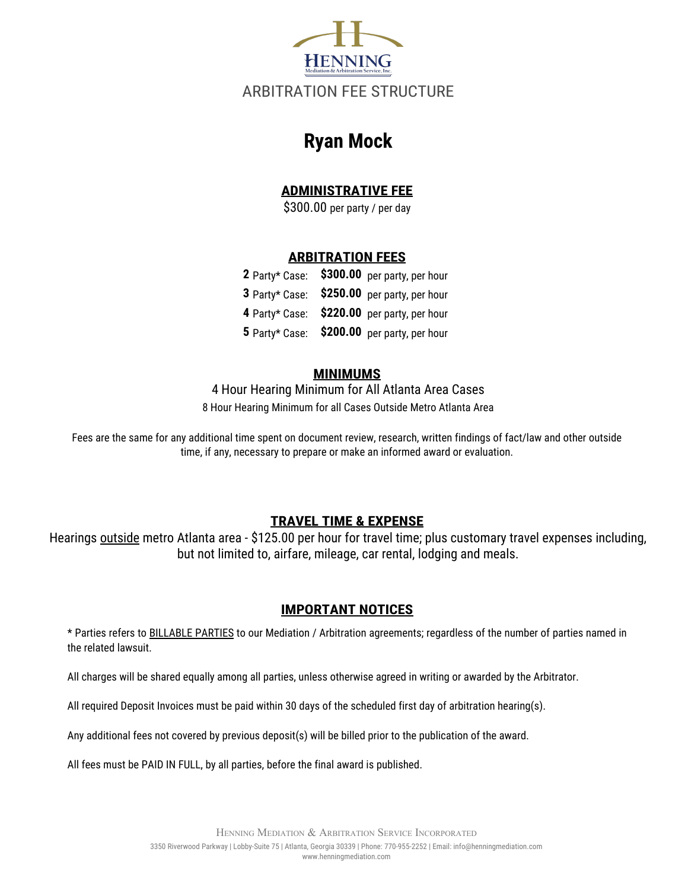

# **Ryan Mock**

#### **ADMINISTRATIVE FEE**

\$300.00 per party / per day

#### **ARBITRATION FEES**

|  | 2 Party* Case: \$300.00 per party, per hour |
|--|---------------------------------------------|
|  | 3 Party* Case: \$250.00 per party, per hour |
|  | 4 Party* Case: \$220.00 per party, per hour |
|  | 5 Party* Case: \$200.00 per party, per hour |

#### **MINIMUMS**

4 Hour Hearing Minimum for All Atlanta Area Cases 8 Hour Hearing Minimum for all Cases Outside Metro Atlanta Area

Fees are the same for any additional time spent on document review, research, written findings of fact/law and other outside time, if any, necessary to prepare or make an informed award or evaluation.

### **TRAVEL TIME & EXPENSE**

Hearings outside metro Atlanta area - \$125.00 per hour for travel time; plus customary travel expenses including, but not limited to, airfare, mileage, car rental, lodging and meals.

#### **IMPORTANT NOTICES**

\* Parties refers to BILLABLE PARTIES to our Mediation / Arbitration agreements; regardless of the number of parties named in the related lawsuit.

All charges will be shared equally among all parties, unless otherwise agreed in writing or awarded by the Arbitrator.

All required Deposit Invoices must be paid within 30 days of the scheduled first day of arbitration hearing(s).

Any additional fees not covered by previous deposit(s) will be billed prior to the publication of the award.

All fees must be PAID IN FULL, by all parties, before the final award is published.